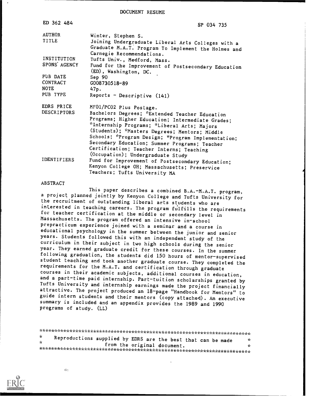DOCUMENT RESUME

| ED 362 484                          | SP 034 735                                                                                                                                                                                                                                                                                                                                                                       |
|-------------------------------------|----------------------------------------------------------------------------------------------------------------------------------------------------------------------------------------------------------------------------------------------------------------------------------------------------------------------------------------------------------------------------------|
| <b>AUTHOR</b><br>TITLE              | Winter, Stephen S.<br>Joining Undergraduate Liberal Arts Colleges with a<br>Graduate M.A.T. Program To Implement the Holmes and<br>Carnegie Recommendations.                                                                                                                                                                                                                     |
| INSTITUTION<br>SPONS AGENCY         | Tufts Univ., Medford, Mass.<br>Fund for the Improvement of Postsecondary Education<br>(ED), Washington, DC.                                                                                                                                                                                                                                                                      |
| PUB DATE<br>CONTRACT<br><b>NOTE</b> | Sep 90<br>G008730518-89<br>47p.                                                                                                                                                                                                                                                                                                                                                  |
| PUB TYPE                            | Reports - Descriptive (141)                                                                                                                                                                                                                                                                                                                                                      |
| EDRS PRICE<br><b>DESCRIPTORS</b>    | MF01/PC02 Plus Postage.<br>Bachelors Degrees; *Extended Teacher Education<br>Programs; Higher Education; Intermediate Grades;<br>*Internship Programs; *Liberal Arts; Majors<br>(Students); *Masters Degrees; Mentors; Middle<br>Schools; *Program Design; *Program Implementation;<br>Secondary Education; Summer Programs; Teacher<br>Certification; Teacher Interns; Teaching |
| <b>IDENTIFIERS</b>                  | (Occupation); Undergraduate Study<br>Fund for Improvement of Postsecondary Education;<br>Kenyon College OH; Massachusetts; Preservice<br>Teachers; Tufts University MA                                                                                                                                                                                                           |

### ABSTRACT

This paper describes a combined B.A.-M.A.T. program, a project planned jointly by Kenyon College and Tufts University for the recruitment of outstanding liberal arts students who are interested in teaching careers. The program fulfills the requirements for teacher certification at the middle or secondary level in Massachusetts. The program offered an intensive in-school prepracticum experience joined with a seminar and a course in educational psychology in the summer between the junior and senior years. Students followed this with an independent study of the curriculum in their subject in two high schools during the senior year. They earned graduate credit for these courses. In the summer following graduation, the students did 150 hours of mentor-supervised student teaching and took another graduate course. They completed the requirements for the M.A.T. and certification through graduate courses in their academic subjects, additional courses in education, and a part-time paid internship. Part-tuition scholarships granted by Tufts University and internship earnings made the project financially attractive. The project produced an 18-page "Handbook for Mentors" to guide intern students and their mentors (copy attached). An executive summary is included and an appendix provides the 1989 and 1990 programs of study. (LL)

\*\*\*\*\*\*\*\*\*\*\*\*\*\*\*\*\*\*\*\*\*\*\*\*\*\*\*\*\*\*\*\*. \*\*\*\*\*\*\*\*\*\*\*\*\*\*\*\*\*\*\*\*\*\*\*\*\*\*\*\*\*\*\*\*\*\*\*\* \* Reproductions supplied by EDRS are the best that can be made \*<br>\* from the original document. \*\*\*\*\*\*\*\*\*\*\*\*\*\*\*\*\*\*\*\*\*\*\*\*\*\*\*\*\*\*\*\*\*\*\*\*\*\*\*\*\*\*\*\*\*\*\*\*\*\*\*\*\*\*\*\*\*\*\*\*\*\*\*\*\*\*\*\*\*\*\*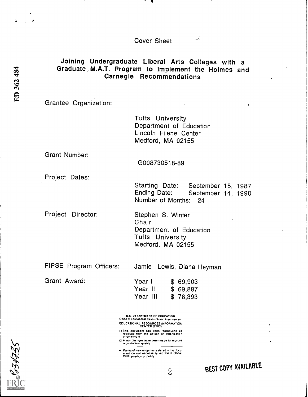Cover Sheet

# Joining Undergraduate Liberal Arts Colleges with <sup>a</sup> Graduate. M.A.T. Program to Implement the Holmes and Carnegie Recommendations

Grantee Organization:

Tufts University Department of Education Lincoln Filene Center Medford, MA 02155

Grant Number:

G008730518-89

Project Dates:

Starting Date: September 15, 1987<br>Ending Date: September 14, 1990 September 14, 1990 Number of Months: 24

 $\mathcal{L}_{\mathcal{A}}$ 

Project Director: Stephen S. Winter Chair Department of Education Tufts University Medford, MA 02155

FIPSE Program Officers: Jamie Lewis, Diana Heyman

Grant Award:

| Year I   |  | \$69,903 |  |
|----------|--|----------|--|
| Year II  |  | \$69,887 |  |
| Year III |  | \$78,393 |  |

U.S. DEPARTMENT OF EDUCATION Office M Educational Research and improvement EDUCATIONAL RESOURCES INFORMATION CENTER (ERIC)

□ This document has been reproduced as<br>received from the person or organization<br>originating it

- Minor Changes have been made to improve<br>reproduction quality
- Pothts of view or opeuoris slated fl ihfs clocu merit do not necessarily represent oliCral OERI positron or policy



 $\epsilon$  BEST COPY AVAILABLE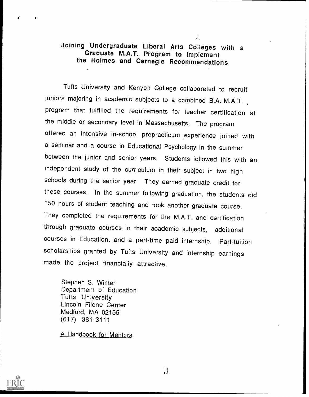# Joining Undergraduate Liberal Arts Colleges with <sup>a</sup> the Holmes and Carnegie Recommendations

 $\overline{a}$ 

Tufts University and Kenyon College collaborated to recruit juniors majoring in academic subjects to a combined B.A.-M.A.T. program that fulfilled the requirements for teacher certification at the middle or secondary level in Massachusetts. The program offered an intensive in-school prepracticum experience joined with a seminar and a course in Educational Psychology in the summer between the junior and senior years. Students followed this with an independent study of the curriculum in their subject in two high schools during the senior year. They earned graduate credit for these courses. In the summer following graduation, the students did 150 hours of student teaching and took another graduate course. They completed the requirements for the M.A.T. and certification through graduate courses in their academic subjects, additional courses in Education, and a part-time paid internship. Part-tuition scholarships granted by Tufts University and internship earnings made the project financially attractive.

Stephen S. Winter Department of Education Tufts University Lincoln Filene Center Medford, MA 02155 (617) 381-3111

A Handbook for Mentors



 $\mathfrak{Z}$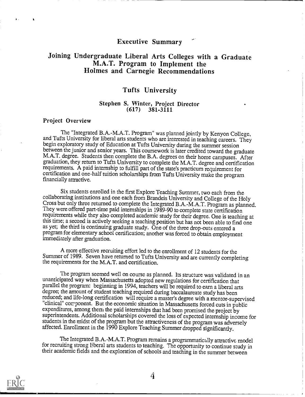# Executive Summary

# Joining Undergraduate Liberal Arts Colleges with a Graduate Holmes and Carnegie Recommendations

# Tufts University

## Stephen S. Winter, Project Director (617) 381-3111  $381 - 3111$

### Project Overview

The "Integrated B.A.-M.A.T. Program" was planned jointly by Kenyon College, and Tufts University for liberal arts students who are interested in teaching careers. They begin exploratory study of Education at Tufts University during the summer session<br>between the junior and senior years. This coursework is later credited toward the graduate M.A.T. degree. Students then complete the B.A. degrees on their home campuses. After graduation, they return to Tufts University to complete the M.A.T. degree and certification requirements. A paid internship to fulfill part of the state's practicum requirement for certification and one-half tuition scholarships from Tufts University make the program financially attractive.

Six students enrolled in the first Explore Teaching Summer, two each from the collaborating institutions and one each from Brandeis University and College of the Holy Cross but only three returned to complete the Integrated B.A.-M.A.T. Program as planned.<br>They were offered part-time paid internships in 1989-90 to complete state certification requirements while they also completed academic study for their degree. One is teaching at this time; a second is actively seeking a teaching position but has not been able to find one as yet; the third is continuing graduate study. One of the three drop-outs entered a program for elementary school certification; another was forced to obtain employment immediately after graduation.

A more effective recruiting effort led to the enrollment of 12 students for the Summer of 1989. Seven have returned to Tufts University and are currently completing the requirements for the M.A.T. and certification.

The program seemed well on course as planned. Its structure was validated in an unanticipated way when Massachusetts adopted new regulations for certification that parallel the program: beginning in 1994, teachers will be required to earn a liberal arts degree; the amount of student teaching required during baccalaureate study has been reduced; and life-long certification will require a master's degree with a mentor-supervised "clinical" component. But the economic situation in Massachusetts forced cuts in public expenditures, among them the paid internships that had been promised the project by superintendents. Additional scholarships covered the loss of expected internship income for students in the midst of the program but the attractiveness of the program was adversely affected. Enrollment in the 1990 Explore Teaching Summer dropped significantly.

The Integrated B.A.-M.A.T. Program remains a programmatically attractive model for recruiting strong liberal arts students to teaching. The opportunity to continue study in their academic fields and the exploration of schools and teaching in the summer between

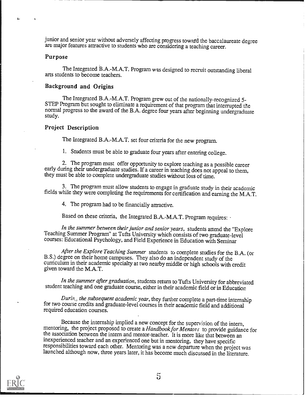junior and senior year without adversely affecting progress toward the baccalaureate degree are major features attractive to students who are considering a teaching career.

### Purpose

The Integrated B.A.-M.A.T. Program was designed to recruit outstanding liberal arts students to become teachers.

### Background and Origins

The Integrated B.A.-M.A.T. Program grew out of the nationally-recognized 5-<br>STEP Program but sought to eliminate a requirement of that program that interrupted the normal progress to the award of the B.A. degree four years after beginning undergraduate study.

### Project Description

The Integrated B.A.-M.A.T. set four criteria for the new program.

1. Students must be able to graduate four years after entering college.

2. The program must offer opportunity to explore teaching as a possible career early during their undergraduate studies. If a career in teaching does not appeal to them, they must be able to complete undergraduate studies

3. The program must allow students to engage in graduate study in their academic fields while they were completing the requirements for certification and earning the M.A.T.

4. The program had to be financially attractive.

Based on these criteria, the Integrated B.A.-M.A.T. Program requires:

In the summer between their junior and senior years, students attend the "Explore Teaching Summer Program" at Tufts University which consists of two graduate-level courses: Educational Psychology, and Field Experience in Education with Seminar

After the Explore Teaching Summer students to complete studies for the B.A. (or B.S.) degree on their home campuses. They also do an independent study of the curriculum in their academic specialty at two nearby middle or high schools with credit given toward the M.A.T.

In the summer after graduation, students return to Tufts University for abbreviated student teaching and one graduate course, either in their academic field or in Education

 $During$ , the subsequent academic year, they further complete a part-time internship for two course credits and graduate-level courses in their academic field and additional required education courses.

Because the internship implied a new concept for the supervision of the intern, mentoring, the project proposed to create a Handbook for Mentors to provide guidance for the association between the intern and mentor-teacher. It is more like that between an inexperienced teacher and an experienced one but in mentoring, they have specific responsibilities toward each other. Mentoring was a new departure when the project was launched although now, three years later, it has become much discussed in the literature.

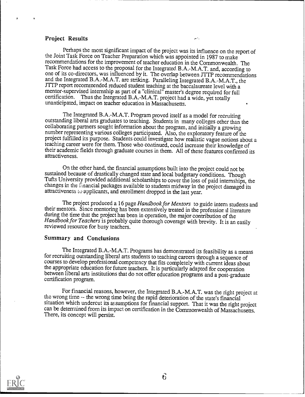### Project Results

Perhaps the most significant impact of the project was its influence on the report of the Joint Task Force on Teacher Preparation which was appointed in 1987 to make recommendations for the improvement of teacher education in the Commonwealth. The Task Force had access to the proposal for the Integrated B.A.-M.A.T. and, according to one of its co-directors, was influenced by it. The overlap between JTTP recommendations and the Integrated B.A.-M.A.T. are striking. Paralleling Integrated B.A.-M.A.T., the .111? report recommended reduced student teaching at the baccalaureate level with a mentor-supervised internship as part of a "clinical" master's degree required for full certification. Thus the Integrated B.A.-M.A.T. project had a wide, yet totally unanticipated, impact on teacher education in Massachusetts.

ÀÎ.

The Integrated B.A.-M.A.T. Program proved itself as a model for recruiting outstanding liberal arts graduates to teaching. Students in many colleges other than the collaborating parmers sought infomiation about the program, and initially a growing number representing various colleges participated. Also, the exploratory feature of the project fulfilled its purpose. Students could investigate how realistic vague notions about a teaching career were for them. Those who continued, could increase their knowledge of their academic fields through graduate courses in them. All of these features confirmed its attractiveness.

On the other hand, the financial assumptions built into the project could not be sustanced because of dramatically changed state and local budgetary conditions. Tufts University provided additional scholarships to cover the loss of paid internships, the changes in the  $\hat{\text{in}}$  ancial packages available to students midway in the project damaged its attractiveness to applicants, and enrollment dropped in the last year.

The project produced a 16 page Handbook for Mentors to guide intern students and their mentors. Since mentoring has been extensively treated in the profession is literature during the time that the project has been in operation, the major contribution of the Handbook for Teachers is probably quite thorough coverage with brevity. It is an easily reviewed resource for busy teachers.

### Summary and Conclusions

The Integrated B.A.-M.A.T. Programs has demonstrated its feasibility as a means for recruiting outstanding liberal arts students to teaching careers through a sequence of fourses to develop professional competency that fits completely with current ideas about the appropriate education for future teachers. It is particularly adapted for cooperation between liberal arts institutions that do not offer education programs and a post-graduate certification program.

For financial reasons, however, the Integrated B.A.-M.A.T. was the right project at the wrong time -- the wrong time being the rapid deterioration of the state's financial situation which undercut its assumptions for financial support. That it was the right project can be determined from its impact on certification in the Commonwealth of Massachusetts. There, its concept will persist.

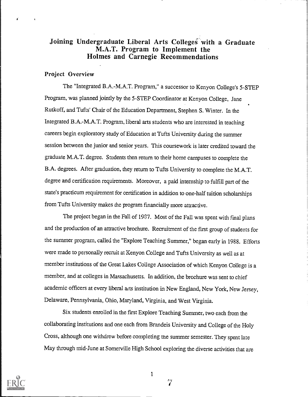# Joining Undergraduate Liberal Arts Colleges with a Graduate M.A.T. Program to Implement the Holmes and Carnegie Recommendations

# Project Overview

The "Integrated B.A.-M.A.T. Program," a successor to Kenyon College's 5-STEP Program, was planned jointly by the 5-STEP Coordinator at Kenyon College, Jane Rutkoff, and Tufts' Chair of the Education Department, Stephen S. Winter. In the Integrated B.A.-M.A.T. Program, liberal arts students who are interested in teaching careers begin exploratory study of Education at Tufts University during the summer session between the junior and senior years. This coursework is later credited toward the graduate M.A.T. degree. Students then return to their home campuses to complete the B.A. degrees. After graduation, they return to Tufts University to complete the M.A.T. degree and certification requirements. Moreover, a paid internship to fulfill part of the state's practicum requirement for certification in addition to one-half tuition scholarships from Tufts University makes the program financially more attractive.

The project began in the Fall of 1987. Most of the Fall was spent with final plans and the production of an attractive brochure. Recruitment of the first group of students for the summer program, called the "Explore Teaching Summer," began early in 1988. Efforts were made to personally recruit at Kenyon College and Tufts University as well as at member institutions of the Great Lakes College Association of which Kenyon College is a member, and at colleges in Massachusetts. In addition, the brochure was sent to chief academic officers at every liberal arts institution in New England, New York, New Jersey, Delaware, Pennsylvania, Ohio, Maryland, Virginia, and West Virginia.

Six students enrolled in the first Explore Teaching Summer, two each from the collaborating institutions and one each from Brandeis University and College of the Holy Cross, although one withdrew before completing the summer semester. They spent late May through mid-June at Somerville High School exploring the diverse activities that are



1

 $\gamma$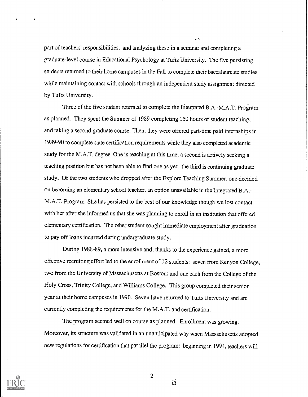part of teachers' responsibilities, and analyzing these in a seminar and completing a graduate-level course in Educational Psychology at Tufts University. The five persisting students returned to their home campuses in the Fall to complete their baccalaureate studies while maintaining contact with schools through an independent study assignment directed by Tufts University.

Three of the five student returned to complete the Integrated B.A.-M.A.T. Program as planned. They spent the Summer of 1989 completing 150 hours of student teaching, and taking a second graduate course. Then, they were offered part-time paid internships in 1989-90 to complete state certification requirements while they also completed academic study for the M.A.T. degree. One is teaching at this time; a second is actively seeking a teaching position but has not been able to find one as yet; the third is continuing graduate study. Of the two students who dropped after the Explore Teaching Summer, one decided on becoming an elementary school teacher, an option unavailable in the Integrated B.A.- M.A.T. Program. She has persisted to the best of our knowledge though we lost contact with her after she informed us that she was planning to enroll in an institution that offered elementary certification. The other student sought immediate employment after graduation to pay off loans incurred during undergraduate study.

During 1988-89, a more intensive and, thanks to the experience gained, a more effective recruiting effort led to the enrollment of 12 students: seven from Kenyon College, two from the University of Massachusetts at Boston; and one each from the College of the Holy Cross, Trinity College, and Williams College. This group completed their senior year at their home campuses in 1990. Seven have returned to Tufts University and are currently completing the requirements for the M.A.T. and certification.

The program seemed well on course as planned. Enrollment was growing. Moreover, its structure was validated in an unanticipated way when Massachusetts adopted new regulations for certification that parallel the program: beginning in 1994, teachers will



2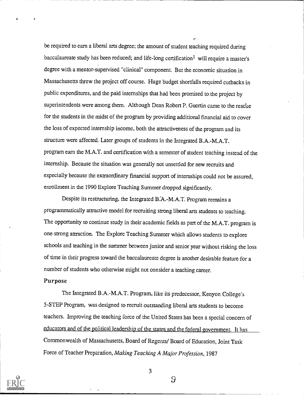be required to earn a liberal arts degree; the amount of student teaching required during baccalaureate study has been reduced; and life-long certification<sup>1</sup> will require a master's degree with a mentor-supervised "clinical" component. But the economic situation in Massachusetts threw the project off course. Huge budget shortfalls required cutbacks in public expenditures, and the paid internships that had been promised to the project by superintendents were among them. Although Dean Robert P. Guertin came to the rescue for the students in the midst of the program by providing additional financial aid to cover the loss of expected internship income, both the attractiveness of the program and its structure were affected. Later groups of students in the Integrated B.A.-M.A.T. program earn the M.A.T. and certification with a semester of student teaching instead of the internship. Because the situation was generally not unsettled for new recruits and especially because the extraordinary fmancial support of internships could not be assured, enrollment in the 1990 Explore Teaching Summer dropped significantly.

Despite its restructuring, the Integrated B.A.-M.A.T. Program remains a programmatically attractive model for recruiting strong liberal arts students to teaching. The opportunity to continue study in their academic fields as part of the M.A.T. program is one strong attraction. The Explore Teaching Summer which allows students to explore schools and teaching in the summer between junior and senior year without risking the loss of time in their progress toward the baccalaureate degree is another desirable feature for a number of students who otherwise might not consider a teaching career.

### Purpose

The Integrated B.A.-M.A.T. Program, like its predecessor, Kenyon College's 5-STEP Program, was designed to recruit outstanding liberal arts students to become teachers. Improving the teaching force of the United States has been a special concern of educators and of the political leadership of the states and the federal government. It has Commonwealth of Massachusetts, Board of Regents/ Board of Education, Joint Task Force of Teacher Preparation, Making Teaching A Major Profession, 1987



3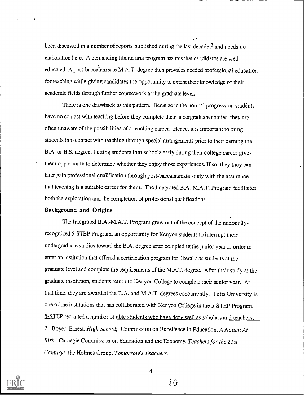been discussed in a number of reports published during the last decade,<sup>2</sup> and needs no elaboration here. A demanding liberal arts program assures that candidates are well educated. A post-baccalaureate M.A.T. degree then provides needed professional education for teaching while giving candidates the opportunity to extent their knowledge of their academic fields through further coursework at the graduate level.

There is one drawback to this pattern. Because in the normal progression students have no contact with teaching before they complete their undergraduate studies, they are often unaware of the possibilides of a teaching career. Hence, it is important to bring students into contact with teaching through special arrangements prior to their earning the B.A. or B.S. degree. Putting students into schools early during their college career gives them opportunity to determine whether they enjoy those experiences. If so, they they can later gain professional qualification through post-baccalaureate study with the assurance that teaching is a suitable career for them. The Integrated B.A.-M.A.T. Program facilitates both the exploration and the completion of professional qualifications.

### Background and Origins

The Integrated B.A.-M.A.T. Program grew out of the concept of the nationallyrecognized 5-STEP Program, an opportunity for Kenyon students to interrupt their undergraduate studies toward the B.A. degree after completing the junior year in order to enter an institution that offered a certification program for liberal arts students at the graduate level and complete the requirements of the M.A.T. degree. After their study at the graduate institution, students return to Kenyon College to complete their senior year. At that time, they are awarded the B.A. and M.A.T. degrees concurrently. Tufts University is one of the institutions that has collaborated with Kenyon College in the 5-STEP Program. 5-STEP recruited a number of able students who have done well as scholars and teachers. 2. Boyer, Ernest, High School; Commission on Excellence in Education, A Nation At Risk; Carnegie Commission on Education and the Economy, Teachers for the 21st Centwy; the Holmes Group, Tomorrow's Teachers.



4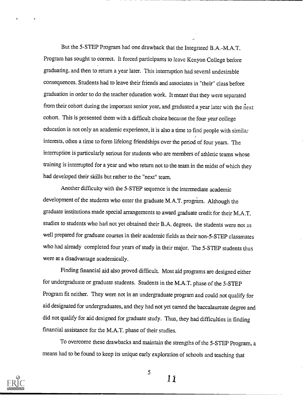But the 5-STEP Program had one drawback that thc Integrated B,A.-M.A.T. Program has sought to correct. It forced participants to leave Kenyon College before graduating, and then to return a year later. This interruption had several undesirable consequences. Students had to leave their friends and associates in "their" class before graduation in order to do the teacher education work. It meant that they were separated from their cohort during the important senior year, and graduated a year later with the next cohort. This is presented them with a difficult choice because the four year college education is not only an academic experience, it is also a time to find people with similar interests, often a time to form Lifelong friendships over the period of four years. The interruption is particularly serious for students who are members of athletic teams whose training is interrupted for a year and who return not to the team in the midst of which they had developed their skills but rather to the "next" team.

Another difficulty with the 5-STEP sequence is the intermediate academic development of the students who enter the graduate M.A.T. program. Although the graduate institutions made special arrangements to award graduate credit for their M.A.T. studies to students who had not yet obtained their B.A. degrees, the students were not as well prepared for graduate courses in their academic fields as their non-5-STEP classmates who had already completed four years of study in their major. The 5-STEP students thus were at a disadvantage academically.

Finding financial aid also proved difficult. Most aid programs are designed either for undergraduate or graduate students. Students in the M.A.T. phase of the 5-STEP Program fit neither. They were not in an undergraduate program and could not qualify for aid designated for undergraduates, and they had not yet earned the baccalaureate degree and did not qualify for aid designed for graduate study. Thus, they had difficulties in finding financial assistance for the M.A.T. phase of their studies.

To overcome these drawbacks and maintain the strengths of the 5-STEP Program, a means had to be found to keep its unique early exploration of schools and teaching that

5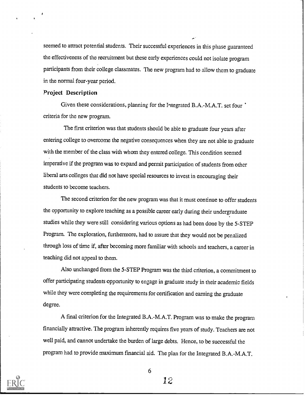seemed to attract potential students. Their successful experiences in this phase guaranteed the effectiveness of the recruitment but these early experiences could not isolate program participants from their college classmates. The new program had to allow them to graduate in the normal four-year period.

### Project Description

Given these considerations, planning for the Integrated B.A.-M.A.T. set four <sup>\*</sup> criteria for the new program.

The first criterion was that students should be able to graduate four years after entering college to overcome the negative consequences when they are not able to graduate with the member of the class with whom they entered college. This condition seemed imperative if the program was to expand and permit participation of students from other liberal arts colleges that did not have special resources to invest in encouraging their students to become teachers.

The second criterion for the new program was that it must continue to offer students the opportunity to explore teaching as a possible career early during their undergraduate studies while they were still considering various options as had been done by the 5-STEP Program. The exploration, furthermore, had to assure that they would not be penalized through loss of time if, after becoming more familiar with schools and teachers, a career in teaching did not appeal to them.

Also unchanged from the 5-STEP Program was the third criterion, a commitment to offer participating students opportunity to engage in graduate study in their academic fields while they were completing the requirements for certification and earning the graduate degree.

A final criterion for the Integrated B.A.-M.A.T. Program was to make the program financially attractive. The program inherently requires five years of study. Teachers are not well paid, and cannot undertake the burden of large debts. Hence, to be successful the progam had to provide maximum financial aid. The plan for the Integrated B.A.-M.A.T.



6

.12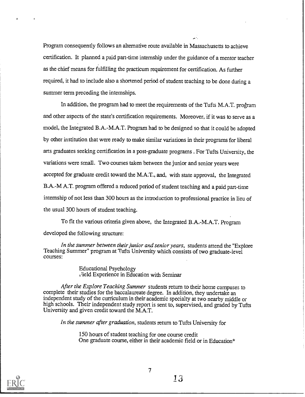Program consequently follows an alternative route available in Massachusetts to achieve certification. It planned a paid part-time internship under the guidance of a mentor teacher as the chief means for fulfilling the practicum requirement for certification. As further required, it had to include also a shortened period of student teaching to be done during a summer term preceding the internships.

шĖ

In addition, the program had to meet the requirements of the Tufts M.A.T. program and other aspects of the state's certification requirements. Moreover, if it was to serve as a model, the Integrated B.A.-M.A.T. Program had to be designed so that it could be adopted by other institution that were ready to make similar variations in their programs for liberal arts graduates seeking certification in a post-graduate programs . For Tufts University, the variations were small. Two courses taken between the junior and senior years were accepted for graduate credit toward the M.A.T., and, with state approval, the Integrated B.A.-M A.T. program offered a reduced period of student teaching and a paid part-time internship of not less than 300 hours as the introduction to professional practice in lieu of the usual 300 hours of student teaching.

To fit the various criteria given above, the Integrated B.A.-M.A.T. Progam developed the following structure:

In the summer between their junior and senior years, students attend the "Explore Teaching Summer" program at Tufts University which consists of two graduate-level courses:

> Educational Psychology i7ield Experience in Education with Seminar

After the Explore Teaching Summer students return to their home campuses to complete their studies for the baccalaureate degree. In addition, they undertake an independent study of the curriculum in their academic specialty at two nearby middle or high schools. Their independent study report is sent to, supervised, and graded by Tufts University and given credit toward the M.A.T.

In the summer after graduation, students return to Tufts University for

150 hours of student teaching for one course credit One graduate course, either in their academic field or in Education\*

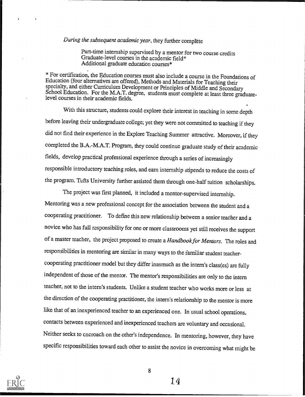# During the subsequent academic year, they further complete

Part-time internship supervised by a mentor for two course credits Graduate-level courses in the academic field\* Additional graduate education courses\*

\* For certification, the Education courses must also include a course in the Foundations of specialty, and either Curriculum Development or Principles of Middle and Secondary<br>School Education. For the M.A.T. degree, students must complete at least three graduatelevel courses in their academic fields.

With this structure, students could explore their interest in teaching in some depth before leaving their undergraduate college; yet they were not committed to teaching if they did not find their experience in the Explore Teaching Summer attractive. Moreover, if they completed the B.A.-M.A.T. Program, they could continue graduate study of their academic fields, develop practical professional experience through a series of increasingly responsible introductory teaching roles, and earn internship stipends to reduce the costs of the program. Tufts University further assisted them through one-half tuition scholarships.

The project was first planned, it included a mentor-supervised internship. Mentoring was a new professional concept for the association between the student and <sup>a</sup> cooperating practitioner. To defme this new relationship between a senior teacher and a novice who has full responsibility for one or more classrooms yet still receives the support of a master teacher, the project proposed to create a Handbook for Mentors. The roles and responsibilities in mentoring are similar in many ways to the familiar student teachercooperating practitioner model but they differ inasmuch as the intern's class(es) are fully independent of those of the mentor. The mentor's responsibilities are only to the intern teacher, not to the intern's students. Unlike a student teacher who works more or less at the direction of the cooperating practitioner, the intern's relationship to the mentor is more like that of an inexperienced teacher to an experienced one. In usual school operations, contacts between experienced and inexperienced teachers are voluntary and occasional. Neither seeks to encroach on the other's independence. In mentoring, however, they have specific responsibilities toward each other to assist the novice in overcoming what might be



8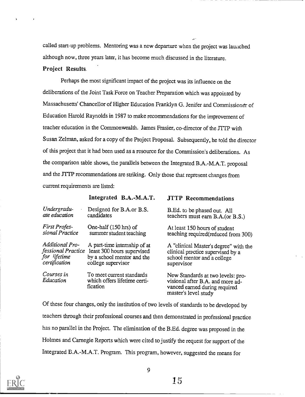called start-up problems. Mentoring was a new departure when the project was launched although now, three years later, it has become much discussed in the literature.

# Project Results.

Perhaps the most significant impact of the project was its influence on the deliberations of the Joint Task Force on Teacher Preparation which was appointed by Massachusetts' Chancellor of Higher Education Franklyn G. Jenifer and Commissioner of Education Harold Raynolds in 1987 to make recommendations for the improvement of teacher education in the Commonwealth. James Frasier, co-director of the JTTP with Susan Zelman, asked for a copy of the Project Proposal. Subsequently, he told the director of this project that it had been used as a resource for the Commission's deliberations. As the comparison table shows, the parallels between the Integrated B.A.-M.A.T. proposal and the JTTP recommendations are striking. Only those that represent changes from current requirements are listed:

|                         | Integrated B.A.-M.A.T.                                                | <b>JTTP</b> Recommendations                                                                                                    |
|-------------------------|-----------------------------------------------------------------------|--------------------------------------------------------------------------------------------------------------------------------|
| Undergradu-             | Designed for B.A.or B.S.                                              | B.Ed. to be phased out. All                                                                                                    |
| ate education           | candidates                                                            | teachers must earn B.A.(or B.S.)                                                                                               |
| <b>First Profes-</b>    | One-half (150 hrs) of                                                 | At least 150 hours of student                                                                                                  |
| sional Practice         | summer student teaching                                               | teaching required(reduced from 300)                                                                                            |
| Additional Pro-         | A part-time internship of at                                          | A "clinical Master's degree" with the                                                                                          |
| fessional Practice      | least 300 hours supervised                                            | clinical practice supervised by a                                                                                              |
| for lifetime            | by a school mentor and the                                            | school mentor and a college                                                                                                    |
| certification           | college supervisor                                                    | supervisor                                                                                                                     |
| Courses in<br>Education | To meet current standards<br>which offers lifetime certi-<br>fication | New Standards at two levels: pro-<br>visional after B.A. and more ad-<br>vanced earned during required<br>master's level study |

Of these four changes, only the institution of two levels of standards to be developed by teachers through their professional courses and then demonstrated in professional practice has no parallel in the Project. The elimination of the B.Ed. degree was proposed in the Holmes and Carnegie Reports which were cited to justify the request for support of the Integrated B.A.-M.A.T. Program. This program, however, suggested the means for

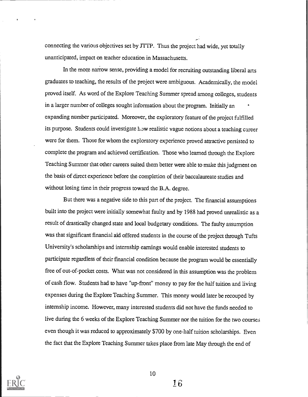connecting the various objectives set by JTTP. Thus the project had wide, yet totally unanticipated, impact on teacher education in Massachusetts.

In the more narrow sense, providing a model for recruiting outstanding liberal arts graduates to teaching, the results of the project were ambiguous. Academically, the model proved itself. As word of the Explore Teaching Summer spread among colleges, students in a larger number of colleges sought information about the program. Initially an expanding number participated. Moreover, the exploratory feature of the project fulfilled its purpose. Students could investigate how realistic vague notions about a teaching career were for them. Those for whom the exploratory experience proved attractive persisted to complete the program and achieved certification. Those who learned through the Explore Teaching Summer that other careers suited them better were able to make this judgment on the basis of direct experience before the completion of their baccalaureate studies and without losing time in their progress toward the B.A. degree.

But there was a negative side to this part of the project. The financial assumptions built into the project were initially somewhat faulty and by 1988 had proved unrealistic as a result of drastically changed state and local budgetary conditions. The faulty assumption was that significant financial aid offered students in the course of the project through Tufts University's scholarships and internship earnings would enable interested students to participate regardless of their financial condition because the program would be essentially free of out-of-pocket costs. What was not considered in this assumption was the problem of cash flow. Students had to have "up-front" money to pay for the half tuition and living expenses during the Explore Teaching Summer. This money would later be recouped by internship income. However, many interested students did not have the funds needed to live during the 6 weeks of the Explore Teaching Summer nor the tuition for the two courses even though it was reduced to approximately \$700 by one-half tuition scholarships. Even the fact that the Explore Teaching Summer takes place from late May through the end of



10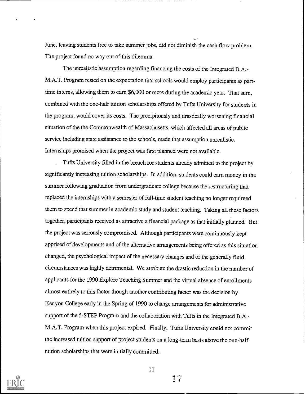June, leaving students free to take summer jobs, did not diminish the cash flow problem. The project found no way out of this dilemma.

The unrealistic assumption regarding financing the costs of the Integrated B.A.- M.A.T. Program rested on the expectation that schools would employ participants as parttime interns, allowing them to earn \$6,000 or more during the academic year. That sum, combined with the one-half tuition scholarships offered by Tufts University for students in the program, would cover its costs. The precipitously and drastically worsening fmancial situation of the the Commonwealth of Massachusetts, which affected all areas of public service including state assistance to the schools, made that assumption unrealistic. Internships promised when the project was first planned were not available.

Tufts University filled in the breach for students already admitted to the project by significantly increasing tuition scholarships. In addition, students could earn money in the summer following graduation from undergraduate college because the restructuring that replaced the internships with a semester of full-time student teaching no longer requireed them to spend that summer in academic study and student teaching. Taking all these factors together, participants received as attractive a financial package as that initially planned. But the project was seriously compromised. Although participants were continuously kept apprised of developments and of the alternative arrangements being offered as this situation changed, the psychological impact of the necessary changes and of the generally fluid circumstances was highly detrimental. We attribute the drastic reduction in the number of applicants for the 1990 Explore Teaching Summer and the virtual absence of enrollments almost entirely to this factor though another contributing factor was the decision by Kenyon College early in the Spring of 1990 to change arrangements for administrative support of the 5-STEP Program and the collaboration with Tufts in the Integrated B.A.- M.A.T. Program when this project expired. Finally, Tufts University could not commit the increased tuition support of project students on a long-term basis above the one .half tuition scholarships that were initially committed.



11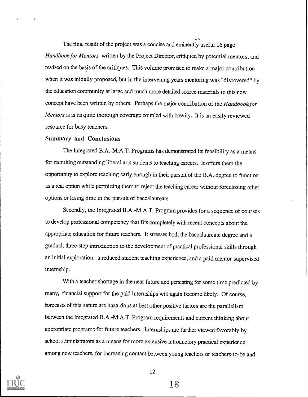The final result of the project was a concise and eminently useful 16 page Handbook for Mentors written by the Project Director, critiqued by potential mentors, and revised on the basis of the critiques. This volume promised to make a major contribution when it was initially proposed, but in the intervening years mentoring was "discovered" by the education community at large and much more detailed source materials to this new concept have been written by others. Perhaps the major contribution of the Handbookfor Mentors is is its quite thorough coverage coupled with brevity. It is an easily reviewed resource for busy teachers.

### Summary and Conclusions

The Integrated B.A.-M.A.T. Programs has demonstrated its feasibility as a means for recruiting outstanding liberal arts students to teaching careers. It offers them the opportunity to explore teaching early enough in their pursuit of the B.A. degree to function as a real option while permitting them to reject the teaching career without foreclosing other options or losing time in the pursuit of baccalaureate.

Secondly, the Integrated B.A.-M.A.T. Program provides for a sequence of courses to develop professional competency that fits completely with recent concepts about the appropriate education for future teachers. It stresses both the baccalaureate degree and a gradual, three-step introduction to the development of practical professional skills through an initial exploration, a reduced student teaching experience, and a paid mentor-supervised internship.

With a teacher shortage in the near future and persisting for some time predicted by many, financial support for the paid internships will again become likely. Of course, forecasts of this nature are hazardous at best other positive factors are the parallelism between the Integrated B.A.-M.A.T. Program requirements and current thinking about appropriate program3 for future teachers. Internships are further viewed favorably by school administrators as a means for more extensive introductory practical experience among new teachers, for increasing contact between young teachers or teachers-to-be and



12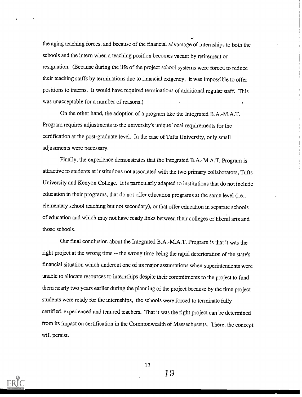the aging teaching forces, and because of the fmancial advantage of internships to both the schools and the intern when a teaching position becomes vacant by retirement or resignation. (Because during the life of the project school systems were forced to reduce their teaching staffs by terminations due to financial exigency, it was imposible to offer positions to interns. It would have required terminations of additional regular staff. This was unacceptable for a number of reasons.)

On the other hand, the adoption of a program like the Integrated B.A.-M.A.T. Program requires adjustments to the university's unique local requirements for the certification at the post-graduate level. In the case of Tufts University, only small adjustments were necessary.

Finally, the experience demonstrates that the Integrated B.A.-M.A.T. Program is attractive to students at institutions not associated with the two primary collaborators, Tufts University and Kenyon College. It is particularly adapted to institutions that do not include education in their programs, that do not offer education programs at the same level (i.e., elementary school teaching but not secondary), or that offer education in separate schools of education and which may not have ready links between their colleges of liberal arts and those schools.

Our final conclusion about the Integrated B.A.-M.A.T. Program is that it was the right project at the wrong time -- the wrong time being the rapid deterioration of the state's financial situation which undercut one of its major assumptions when superintendents were unable to allocate resources to internships despite their commitments to the project to fund them nearly two years earlier during the planning of the project because by the time project students were ready for the internships, the schools were forced to terminate fully certified, experienced and tenured teachers. That it was the right project can be determined from its impact on certification in the Commonwealth of Massachusetts. There, the concept will persist.



13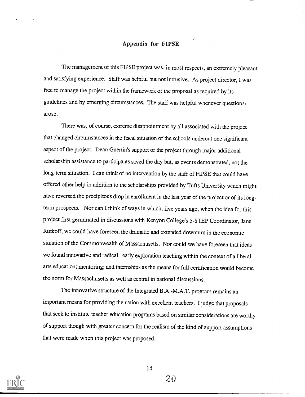### Appendix for FIPSE

The management of this FlPSE project was, in most respects, an extremely pleasant and satisfying experience. Staff was helpful but not intrusive. As project director, I was free to manage the project within the framework of the proposal as required by its guidelines and by emerging circumstances. The staff was helpful whenever questions. arose.

There was, of course, extreme disappointment by all associated with the project that changed circumstances in the fiscal situation of the schools undercut one significant aspect of the project. Dean Guertin's support of the project through major additional scholarship assistance to participants saved the day but, as events demonstrated, not the long-term situation. I can think of no intervention by the staff of FIPSE that could have offered other help in addition to the scholarships provided by Tufts University which might have reversed the precipitous drop in enrollment in the last year of the project or of its longterm prospects. Nor can I think of ways in which, five years ago, when the idea for this project first germinated in discussions with Kenyon College's 5-STEP Coordinator, Jane Rutkoff, we could have foreseen the dramatic and extended downturn in the economic situation of the Commonwealth of Massachusetts. Nor could we have foreseen that ideas we found innovative and radical: early exploration teaching within the context of a liberal arts education; mentoring; and internships as the means for full certification would become the norm for Massachusetts as well as central in national discussions.

The innovative structure of the Integrated B.A.-M.A.T. program remains an important means for providing the nation with excellent teachers. I judge that proposals that seek to institute teacher education programs based on similar considerations are worthy of support though with greater concern for the realism of the kind of support assumptions that were made when this project was proposed.



14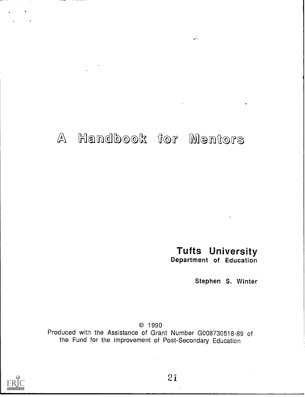# A Handbook for Mentors

Tufts University Department of Education

 $\mathcal{L}^{(1)}$ 

Stephen S. Winter

© 1990

Produced with the Assistance of Grant Number G008730518-89 of the Fund for the Improvement of Post-Secondary Education

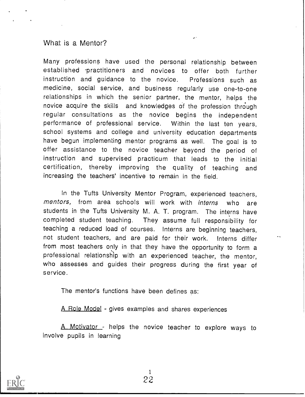# What is a Mentor?

Many professions have used the personal relationship between established practitioners and novices to offer both further instruction and guidance to the novice. Professions such as medicine, social service, and business regularly use one-to-one relationships in which the senior partner, the mentor, helps the novice acquire the skills and knowledges of the profession through regular consultations as the novice begins the independent performance of professional service. Within the last ten years, school systems and college and university education departments have begun implementing mentor programs as well. The goal is to offer assistance to the novice teacher beyond the period of instruction and supervised practicum that leads to the initial certification, thereby improving the quality of teaching and increasing the teachers' incentive to remain in the field.

In the Tufts University Mentor Program, experienced teachers, mentors, from area schools will work with interns who are students in the Tufts University M. A. T. program. The interns have completed student teaching. They assume full responsibility for teaching a reduced load of courses. Interns are beginning teachers, not student teachers, and are paid for their work. Interns differ from most teachers only in that they have the opportunity to form a professional relationship with an experienced teacher, the mentor, who assesses and guides their progress during the first year of service.

The mentor's functions have been defines as:

A Role Model - gives examples and shares experiences

A Motivator - helps the novice teacher to explore ways to involve pupils in learning

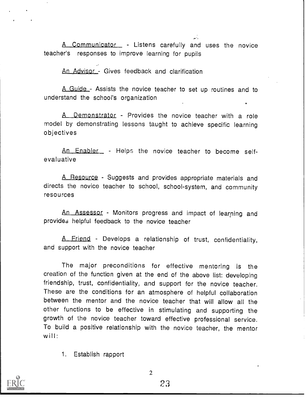A Communicator - Listens carefully and uses the novice teacher's responses to improve learning for pupils

An Advisor - Gives feedback and clarification

A Guide - Assists the novice teacher to set up routines and to understand the school's organization

A Demonstrator - Provides the novice teacher with a role model by demonstrating lessons taught to achieve specific learning objectives

An Enabler - Helps the novice teacher to become selfevaluative

A Resource - Suggests and provides appropriate materials and directs the novice teacher to school, school-system, and community resources

An Assessor - Monitors progress and impact of learning and provides helpful feedback to the novice teacher

A Friend - Develops a relationship of trust, confidentiality, and support with the novice teacher

The major preconditions for effective mentoring is the creation of the function given at the end of the above list: developing friendship, trust, confidentiality, and support for the novice teacher. These are the conditions for an atmosphere of helpful collaboration between the mentor and the novice teacher that will allow all the other functions to be effective in stimulating and supporting the growth of the novice teacher toward effective professional service. To build a positive relationship with the novice teacher, the mentor will:

1. Establish rapport



 $\overline{2}$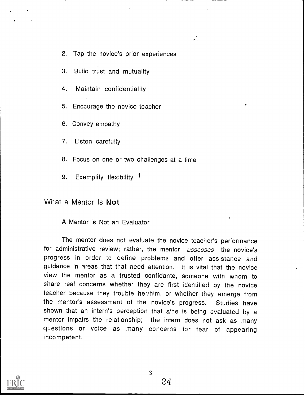2. Tap the novice's prior experiences

 $\mathcal{L}$ 

- 3. Build trust and mutuality
- 4. Maintain confidentiality
- 5. Encourage the novice teacher
- 6. Convey empathy
- 7. Listen carefully
- 8. Focus on one or two challenges at a time
- 9. Exemplify flexibility 1

What a Mentor Is Not

A Mentor is Not an Evaluator

The mentor does not evaluate the novice teacher's performance for administrative review; rather, the mentor assesses the novice's progress in order to define problems and offer assistance and guidance in areas that that need attention. It is vital that the novice view the mentor as a trusted confidante, someone with whom to share real concerns whether they are first identified by the novice teacher because they trouble her/him, or whether they emerge from the mentor's assessment of the novice's progress. Studies have shown that an intern's perception that s/he is being evaluated by a mentor impairs the relationship; the intern does not ask as many questions or voice as many concerns for fear of appearing incompetent.

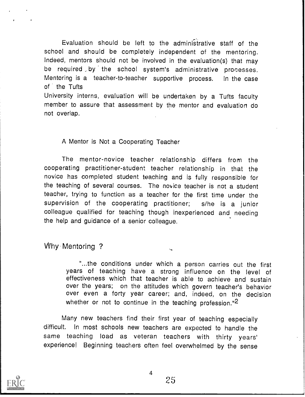Evaluation should be left to the administrative staff of the school and should be completely independent of the mentoring. Indeed, mentors should not be involved in the evaluation(s) that may be required by the school system's administrative processes. Mentoring is a teacher-to-teacher supportive process. In the case of the Tufts

University interns, evaluation will be undertaken by a Tufts faculty member to assure that assessment by the mentor and evaluation do not overlap.

# A Mentor is Not a Cooperating Teacher

The mentor-novice teacher relationship differs from the cooperating practitioner-student teacher relationship in that the novice has completed student teaching and is fully responsible for the teaching of several courses. The novice teacher is not a student teacher, trying to function as a teacher for the first time under the supervision of the cooperating practitioner; s/he is <sup>a</sup> junior colleague qualified for teaching though inexperienced and needing the help and guidance of a senior colleague.

Why Mentoring ?

"...the conditions under which a person carries out the first years of teaching have a strong influence on the level of effectiveness which that teacher is able to achieve and sustain over the years; on the attitudes which govern teacher's behavior over even a forty year career; and, indeed, on the decision whether or not to continue in the teaching profession."<sup>2</sup>

Many new teachers find their first year of teaching especially difficult. In most schools new teachers are expected to handle the same teaching load as veteran teachers with thirty years' experience! Beginning teachers often feel overwhelmed by the sense

 $\overline{4}$ 

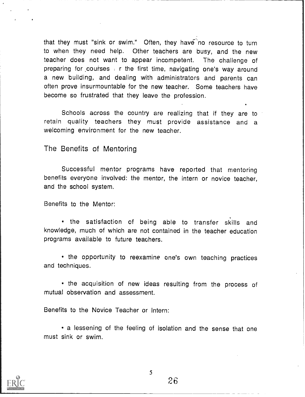that they must "sink or swim." Often, they have no resource to turn to when they need help. Other teachers are busy, and the new teacher does not want to appear incompetent. The challenge of preparing for courses  $\epsilon$  r the first time, navigating one's way around a new building, and dealing with administrators and parents can often prove insurmountable for the new teacher. Some teachers have become so frustrated that they leave the profession.

Schools across the country are realizing that if they are to retain quality teachers they must provide assistance and a welcoming environment for the new teacher.

The Benefits of Mentoring

Successful mentor programs have reported that mentoring benefits everyone involved: the mentor, the intern or novice teacher, and the school system.

Benefits to the Mentor:

the satisfaction of being able to transfer skills and knowledge, much of which are not contained in the teacher education programs available to future teachers.

• the opportunity to reexamine one's own teaching practices and techniques.

• the acquisition of new ideas resulting from the process of mutual observation and assessment.

Benefits to the Novice Teacher or Intern:

a lessening of the feeling of isolation and the sense that one must sink or swim.

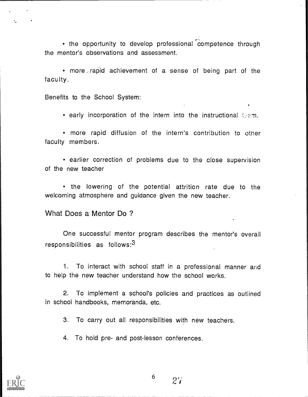• the opportunity to develop professional competence through the mentor's observations and assessment.

more . rapld achievement of a sense of being part of the faculty.

Benefits to the School System:

 $\bullet$  early incorporation of the intern into the instructional team.

more rapid diffusion of the intern's contribution to other faculty members.

• earlier correction of problems due to the close supervision of the new teacher

• the lowering of the potential attrition rate due to the welcoming atmosphere and guidance given the new teacher.

What Does a Mentor Do ?

One successful mentor program describes the mentor's overall responsibilities as follows:3

1. To interact with school staff in a professional manner and to help the new teacher understand how the school works.

2. To implement a school's policies and practices as outlined in school handbooks, memoranda, etc.

3. To carry out all responsibilities with new teachers.

4. To hold pre- and post-lesson conferences.



6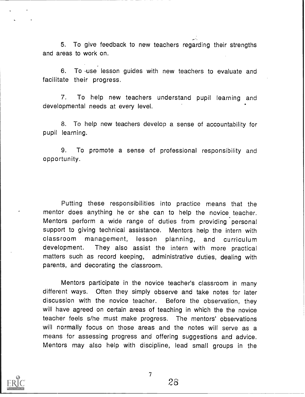$\mathcal{L}=\mathcal{L}$ 5. To give feedback to new teachers regarding their strengths and areas to work on.

6. To .use lesson guides with new teachers to evaluate and facilitate their progress.

7. To help new teachers understand pupil learning and developmental needs at every level.

8. To help new teachers develop a sense of accountability for pupil learning.

9. To promote a sense of professional responsibility and opportunity.

Putting these responsibilities into practice means that the mentor does anything he or she can to help the novice teacher. Mentors perform a wide range of duties from providing personal support to giving technical assistance. Mentors help the intern with classroom management, lesson planning, and curriculum development. They also assist the intern with more practical matters such as record keeping, administrative duties, dealing with parents, and decorating the classroom.

Mentors participate in the novice teacher's classroom in many different ways. Often they simply observe and take notes for later discussion with the novice teacher. Before the observation, they will have agreed on certain areas of teaching in which the the novice teacher feels s/he must make progress. The mentors' observations will normally focus on those areas and the notes will serve as a means for assessing progress and offering suggestions and advice. Mentors may also help with discipline, lead small groups in the

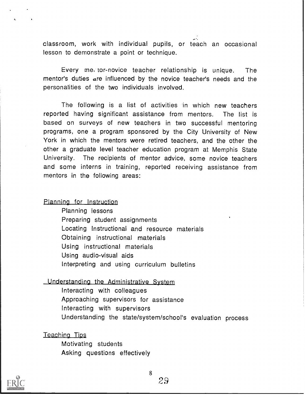classroom, work with individual pupils, or teach an occasional lesson to demonstrate a point or technique.

Every met tor-novice teacher relationship is unique. The mentor's duties are influenced by the novice teacher's needs and the personalities of the two individuals involved.

The following is a list of activities in which new teachers reported having significant assistance from mentors. The list is based on surveys of new teachers in two successful mentoring programs, one a program sponsored by the City University of New York in which the mentors were retired teachers, and the other the other a graduate level teacher education program at Memphis State University. The recipients of mentor advice, some novice teachers and some interns in training, reported receiving assistance from mentors in the following areas:

## Planning for Instruction

Planning lessons Preparing student assignments Locating Instructional and resource materials Obtaining instructional materials Using instructional materials Using audio-visual aids Interpreting and using curriculum bulletins

# Understanding the Administrative System

Interacting with colleagues Approaching supervisors for assistance Interacting with supervisors Understanding the state/system/school's evaluation process

### Teaching Tips

Motivating students Asking questions effectively



 $\mathbf{r}$ 

8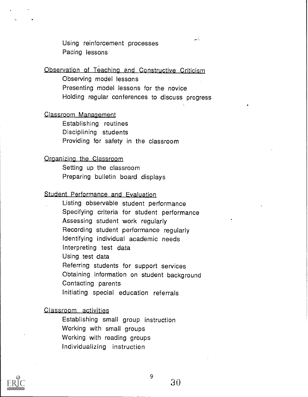Using reinforcement processes Pacing lessons

# Observation of Teaching and Constructive Criticism

Observing model lessons Presenting model lessons for the novice Holding regular conferences to discuss progress

 $\mathbf{r}$ 

# Classcoom Management

Establishing routines Disciplining students Providing for safety in the classroom

# Organizing the Classroom

Setting up the classroom Preparing bulletin board displays

# Student Performance and Evaluation

Listing observable student performance Specifying criteria for student performance Assessing student work regularly Recording student performance regularly Identifying individual academic needs Interpreting test data Using test data Referring students for support services Obtaining information on student background Contacting parents Initiating special education referrals

# Classroom activities

Establishing small group instruction Working with small groups Working with reading groups Individualizing instruction



9 - 20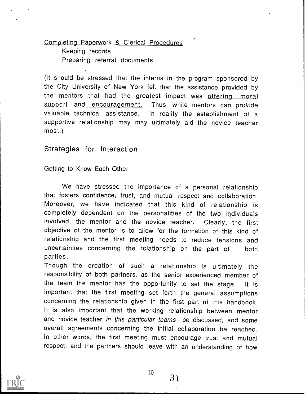# Completing Paperwork & Clerical Procedures

Keeping records Preparing referral documents

(It should be stressed that the interns in the program sponsored by the City University of New York felt that the assistance provided by the mentors that had the greatest impact was offering moral support and encouragement. Thus, while mentors can provide valuable technical assistance, in reality the establishment of a supportive relationship may may ultimately aid the novice teacher most.)

 $\mathcal{L}_{\mathcal{A}}$ 

Strategies for Interaction

Getting to Know Each Other

We have stressed the importance of a personal relationship that fosters confidence, trust, and mutual respect and collaboration. Moreover, we have indicated that this kind of relationship is completely dependent on the personalities of the two individuals involved, the mentor and the novice teacher. Clearly, the first objective of the mentor is to allow for the formation of this kind of relationship and the first meeting needs to reduce tensions and uncertainties concerning the relationship on the part of both parties.

Though the creation of such <sup>a</sup> relationship is ultimately the responsibility of both partners, as the senior experienced member of the team the mentor has the opportunity to set the stage. It is important that the first meeting set forth the general assumptions concerning the relationship given in the first part of this handbook. It is also important that the working relationship between mentor and novice teacher in this particular teams be discussed, and some overall agreements concerning the initial collaboration be reached. In other words, the first meeting must encourage trust and mutual respect, and the partners should leave with an understanding of how



10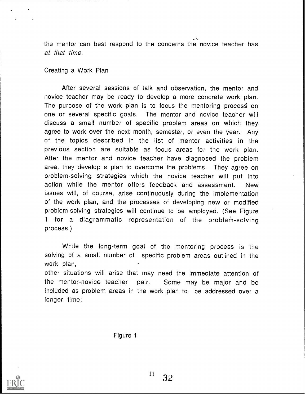the mentor can best respond to the concerns the novice teacher has at that time.

# Creating a Work Plan

After several sessions of talk and observation, the mentor and novice teacher may be ready to develop a more concrete work plan. The purpose of the work plan is to focus the mentoring process on one or several specific goals. The mentor and novice teacher will discuss a small number of specific problem areas on which they agree to work over the next month, semester, or even the year. Any of the topics described in the list of mentor activities in the previous section are suitable as focus areas for the work plan. After the mentor and novice teacher have diagnosed the problem area, they develop a plan to overcome the problems. They agree on problem-solving strategies which the novice teacher will put into action while the mentor offers feedback and assessment. New issues will, of course, arise continuously during the implementation of the work plan, and the processes of developing new or modified problem-solving strategies will continue to be employed. (See Figure 1 for a diagrammatic representation of the problem-solving process.)

While the long-term goal of the mentoring process is the solving of a small number of specific problem areas outlined in the work plan,

other situations will arise that may need the immediate attention of the mentor-novice teacher pair. Some may be major and be included as problem areas in the work plan to be addressed over a longer time;

Figure 1

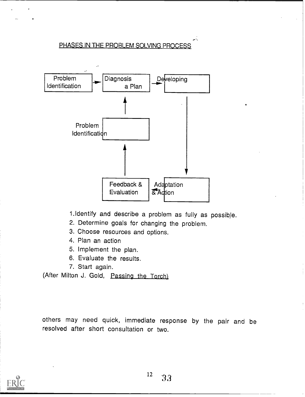# PHASES IN THE PROBLEM SOLVING PROCESS



1.Identify and describe a problem as fully as possible.

.

- 2. Determine goals for changing the problem.
- 3. Choose resources and options.
- 4. Plan an action
- 5. Implement the plan.
- 6. Evaluate the results.
- 7. Start again.

(After Milton J. Gold, Passing the Torch)

others may need quick, immediate response by the pair and be resolved after short consultation or two.

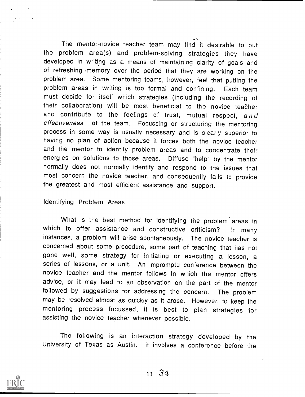The mentor-novice teacher team may find it desirable to put the problem area(s) and problem-solving strategies they have developed in writing as a means of maintaining clarity of goals and of refreshing memory over the period that they are working on the problem area. Some mentoring teams, however, feel that putting the problem areas in writing is too formal and confining. Each team must decide for itself which strategies (including the recording of their collaboration) will be most beneficial to the novice teacher and contribute to the feelings of trust, mutual respect, and effectiveness of the team. Focussing or structuring the mentoring process in some way is usually necessary and is clearly superior to having no plan of action because it forces both the novice teacher and the mentor to identify problem areas and to concentrate their energies on solutions to those areas. Diffuse "help" by the mentor normally does not normally identify and respond to the issues that most concern the novice teacher, and consequently fails to provide the greatest and most efficient assistance and support.

# Identifying Problem Areas

What is the best method for identifying the problem' areas in which to offer assistance and constructive criticism? In many instances, a problem will arise spontaneously. The novice teacher is concerned about some procedure, some part of teaching that has not gone well, some strategy for initiating or executing a lesson, a series of lessons, or a unit. An impromptu conference between the novice teacher and the mentor follows in which the mentor offers advice, or it may lead to an observation on the part of the mentor followed by suggestions for addressing the concern. The problem may be resolved almost as quickly as it arose. However, to keep the mentoring process focussed, it is best to plan strategies for assisting the novice teacher whenever possible.

The following is an interaction strategy developed by the University of Texas as Austin. It involves a conference before the

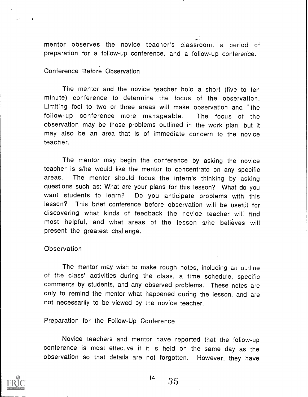mentor observes the novice teacher's classroom, a period of preparation for a follow-up conference, and a follow-up conference.

# Conference Before Observation

The mentor and the novice teacher hold a short (five to ten minute) conference to determine the focus of the observation. Limiting foci to two or three areas will make observation and the follow-up conference more manageable. The focus of the observation may be those problems outlined in the work plan, but it may also be an area that is of immediate concern to the novice teacher.

The mentor may begin the conference by asking the novice teacher is s/he would like the mentor to concentrate on any specific areas. The mentor should focus the intern's thinking by asking questions such as: What are your plans for this lesson? What do you want students to learn? Do you anticipate problems with this lesson? This brief conference before observation will be useful for discovering what kinds of feedback the novice teacher will find most helpful, and what areas of the lesson s/he believes will present the greatest challenge.

### **Observation**

The mentor may wish to make rough notes, including an outline of the class' activities during the class, a time schedule, specific comments by students, and any observed problems. These notes are only to remind the mentor what happened during the lesson, and are not necessarily to be viewed by the novice teacher.

Preparation for the Follow-Up Conference

Novice teachers and mentor have reported that the follow-up conference is most effective if it is held on the same day as the observation so that details are not forgotten. However, they have



 $\mathbf{G}(\mathbf{r})$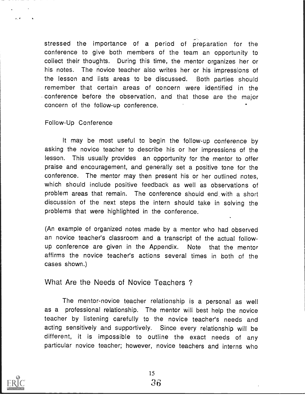stressed the importance of a period of preparation for the conference to give both members of the team an opportunity to collect their thoughts. During this time, the mentor organizes her or his notes. The novice teacher also writes her or his impressions of the lesson and lists areas to be discussed. Both parties should remember that certain areas of concern were identified in the conference before the observation, and that those are the major concern of the follow-up conference.

# Follow-Up Conference

It may be most useful to begin the follow-up conference by asking the novice teacher to describe his or her impressions of the lesson. This usually provides an opportunity for the mentor to offer praise and encouragement, and generally set a positive tone for the conference. The mentor may then present his or her outlined notes, which should include positive feedback as well as observations of problem areas that remain. The conference should end with a short discussion of the next steps the intern should take in solving the problems that were highlighted in the conference.

(An example of organized notes made by a mentor who had observed an novice teacher's classroom and a transcript of the actual followup conference are given in the Appendix. Note that the mentor affirms the novice teacher's actions several times in both of the cases shown.)

# What Are the Needs of Novice Teachers ?

The mentor-novice teacher relationship is a personal as well as a professional relationship. The mentor will best help the novice teacher by listening carefully to the novice teacher's needs and acting sensitively and supportively. Since every relationship will be different, it is impossible to outline the exact needs of any particular novice teacher; however, novice teachers and interns who



 $\mathbf{r}$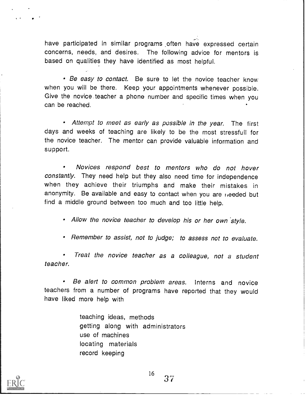have participated in similar programs often have expressed certain concerns, needs, and desires. The following advice for mentors is based on qualities they have identified as most helpful.

• Be easy to contact. Be sure to let the novice teacher know when you will be there. Keep your appointments whenever possible. Give the novice teacher a phone number and specific times when you can be reached.

Attempt to meet as early as possible in the year. The first days and weeks of teaching are likely to be the most stressfull for the novice teacher. The mentor can provide valuable information and support.

 $\bullet$ Novices respond best to mentors who do not hover constantly. They need help but they also need time for independence when they achieve their triumphs and make their mistakes in anonymity. Be available and easy to contact when you are heeded but find a middle ground between too much and too little help.

• Allow the novice teacher to develop his or her own style.

Remember to assist, not to judge; to assess not to evaluate.

Treat the novice teacher as a colleague, not a student teacher.

Be alert to common problem areas. Interns and novice teachers from a number of programs have reported that they would have liked more help with

> teaching ideas, methods getting along with administrators use of machines locating materials record keeping



 $^{16}$  37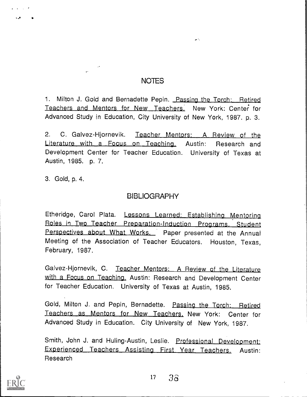# NOTES

жŃ.

1. Milton J. Gold and Bernadette Pepin. Passing the Torch: Retired Teachers and Mentors for New Teachers. New York: Center for Advanced Study in Education, City University of New York, 1987. p. 3.

2. C. Galvez-Hjornevik. Teacher Mentors: A Review of the Literature with <sup>a</sup> Focus on Teaching. Austin: Research and Development Center for Teacher Education. University of Texas at Austin, 1985. p. 7.

3. Gold, p. 4.

# **BIBLIOGRAPHY**

Etheridge, Carol Plata. Lessons Learned: Establishing Mentorina <u>Roles in Two Teacher Preparation-Induction Programs. S</u> Perspectives about What Works. Paper presented at the Annual Meeting of the Association of Teacher Educators. Houston, Texas, February, 1987.

Galvez-Hjornevik, C. Teacher Mentors: A Review of the Literature with a Focus on Teaching. Austin: Research and Development Center for Teacher Education. University of Texas at Austin, 1985.

Gold, Milton J. and Pepin, Bernadette. Passing the Torch: Retired Teachers as Mentors for New Teachers. New York: Center for Advanced Study in Education. City University of New York, 1987.

Smith, John J. and Huling-Austin, Leslie. Professional Development: Experienced Teachers Assisting First Year Teachers. Austin: Research

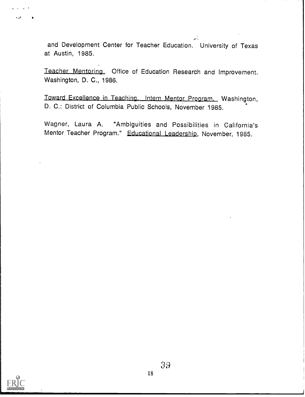and Development Center for Teacher Education. University of Texas at Austin, 1985.

 $\mathcal{L}$ .

Teacher Mentoring. Office of Education Research and Improvement. Washington, D. C., 1986.

Toward Excellence in Teaching. Intern Mentor Program. Washington, D. C.: District of Columbia Public Schools, November 1985.

Wagner, Laura A. "Ambiguities and Possibilities in California's Mentor Teacher Program." Educational Leadership, November, 1985.

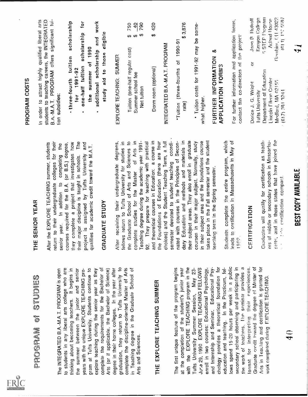| Full Text Provided by ERIC |  |
|----------------------------|--|

PROSENSM of STUDES THE SERIES (THE SERIES of the series of the series of the series of the series of the series of the series of the series of the series of the series of the series of the series of the series of the ser

- 
- 
- 

| \$1 \$2                         | $\frac{1}{2}$<br>Ø | დ<br>\$7    |  |
|---------------------------------|--------------------|-------------|--|
| Tuition (one-half regular cost) | Summer school fee  | Net tuition |  |

\$<br>420<br>\$3,876

Tuition (three-fourths of 1990-91<br>
ate)<br>
and higher.<br>
Tuition costs for 1991-92 may be some-<br>
what higher.<br>
EURTHER INFORMATION &<br>
FORTHER INFORMATION &<br>
for further information and application forms,<br>
contact the co-dire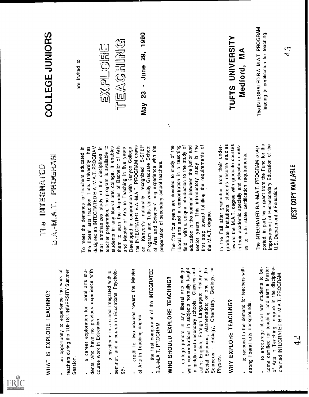

4

WHAT IS CRUCRE TEACHING? If  $\mathbb{R}^2$  if the INTEGRANTED state of the INTEGRANT CROSS of the CASH CONSULTS (SPECTRAL EXPLANERS) (1999) and the summer of the separation in a state of the separation in the separation of th AURE TRADUCED AND  $\theta$  A.-M.A.T. PROGRAM COLLEGE JUNIORS<br>
are interactions are in the method density in the result of results in the results of the results of the results of the results of the results of the results of th

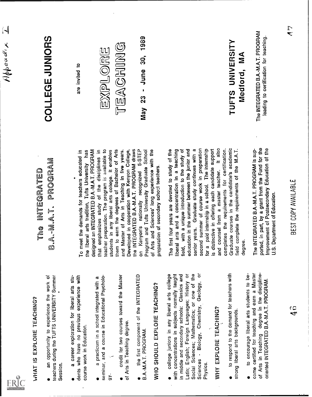

A space triangular and the state of the state of the state of the state of the state of the state of the state of the state of the state of the state of the state of the state of the state of the state of the state of the